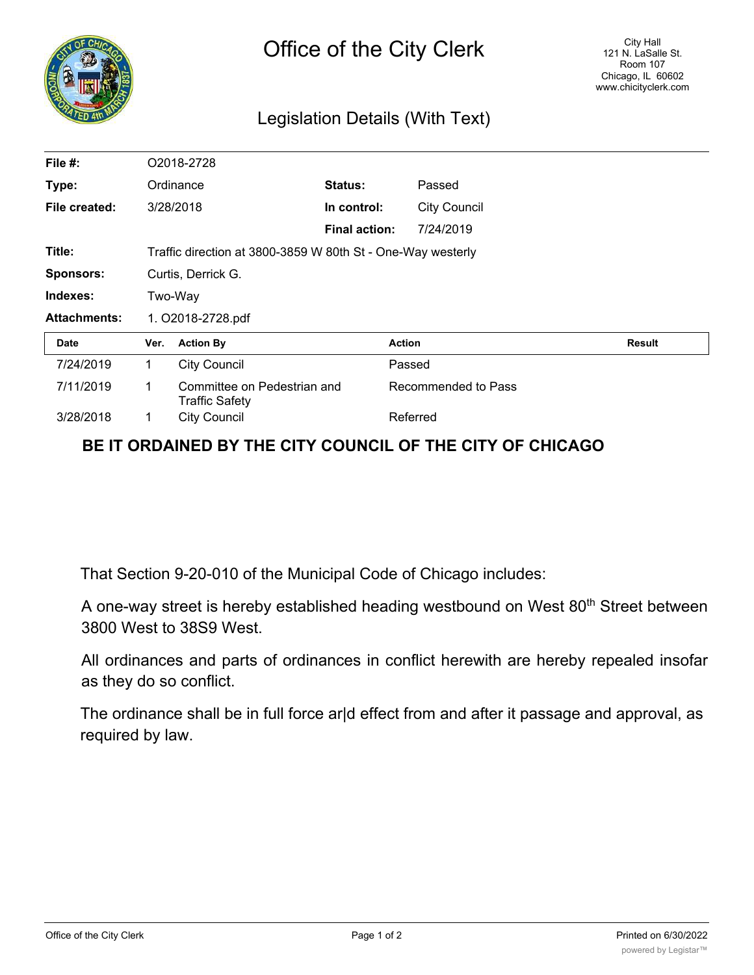| $n_{\alpha}$<br>œ |  |  |  |  |  |  |  |
|-------------------|--|--|--|--|--|--|--|
| ۰<br>Zq           |  |  |  |  |  |  |  |

## Legislation Details (With Text)

| File #:             | O2018-2728                                                  |                                                      |                      |                     |                     |               |  |
|---------------------|-------------------------------------------------------------|------------------------------------------------------|----------------------|---------------------|---------------------|---------------|--|
| Type:               | Ordinance                                                   |                                                      | Status:              | Passed              |                     |               |  |
| File created:       |                                                             | 3/28/2018                                            | In control:          |                     | <b>City Council</b> |               |  |
|                     |                                                             |                                                      | <b>Final action:</b> |                     | 7/24/2019           |               |  |
| Title:              | Traffic direction at 3800-3859 W 80th St - One-Way westerly |                                                      |                      |                     |                     |               |  |
| <b>Sponsors:</b>    | Curtis, Derrick G.                                          |                                                      |                      |                     |                     |               |  |
| Indexes:            | Two-Way                                                     |                                                      |                      |                     |                     |               |  |
| <b>Attachments:</b> | 1. O2018-2728.pdf                                           |                                                      |                      |                     |                     |               |  |
| Date                | Ver.                                                        | <b>Action By</b>                                     |                      | <b>Action</b>       |                     | <b>Result</b> |  |
| 7/24/2019           | 1                                                           | <b>City Council</b>                                  |                      |                     | Passed              |               |  |
| 7/11/2019           | 1                                                           | Committee on Pedestrian and<br><b>Traffic Safety</b> |                      | Recommended to Pass |                     |               |  |
| 3/28/2018           | 1                                                           | <b>City Council</b>                                  |                      |                     | Referred            |               |  |

## **BE IT ORDAINED BY THE CITY COUNCIL OF THE CITY OF CHICAGO**

That Section 9-20-010 of the Municipal Code of Chicago includes:

A one-way street is hereby established heading westbound on West 80<sup>th</sup> Street between 3800 West to 38S9 West.

All ordinances and parts of ordinances in conflict herewith are hereby repealed insofar as they do so conflict.

The ordinance shall be in full force ar|d effect from and after it passage and approval, as required by law.